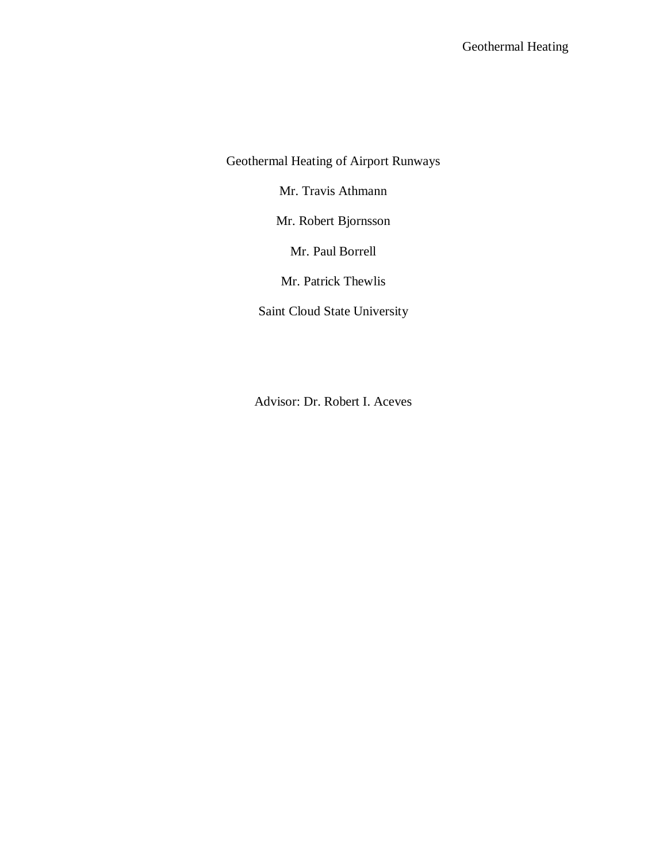Geothermal Heating of Airport Runways

Mr. Travis Athmann

Mr. Robert Bjornsson

Mr. Paul Borrell

Mr. Patrick Thewlis

Saint Cloud State University

Advisor: Dr. Robert I. Aceves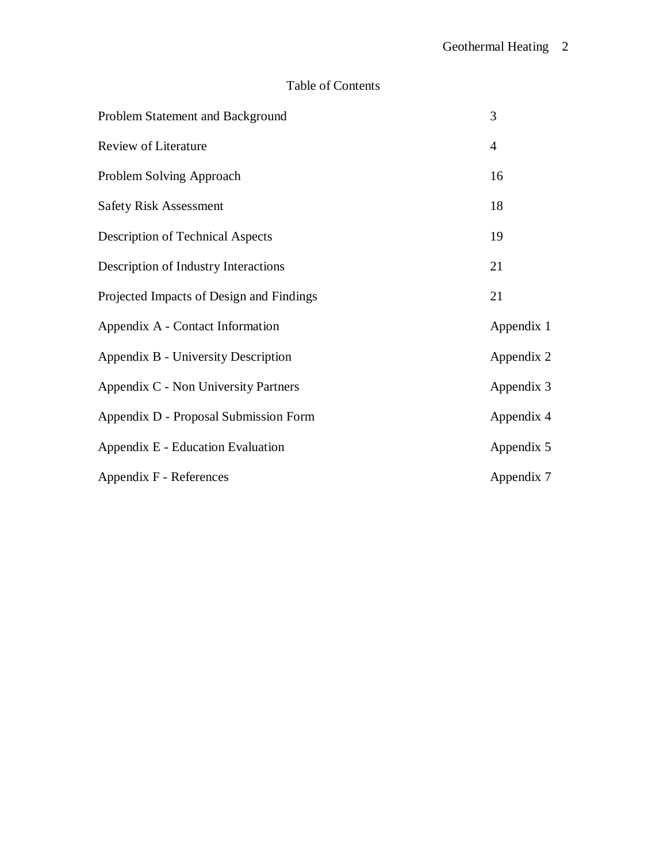# Table of Contents

| Problem Statement and Background         | 3              |
|------------------------------------------|----------------|
| Review of Literature                     | $\overline{4}$ |
| Problem Solving Approach                 | 16             |
| <b>Safety Risk Assessment</b>            | 18             |
| <b>Description of Technical Aspects</b>  | 19             |
| Description of Industry Interactions     | 21             |
| Projected Impacts of Design and Findings | 21             |
| Appendix A - Contact Information         | Appendix 1     |
| Appendix B - University Description      | Appendix 2     |
| Appendix C - Non University Partners     | Appendix 3     |
| Appendix D - Proposal Submission Form    | Appendix 4     |
| Appendix E - Education Evaluation        | Appendix 5     |
| Appendix F - References                  | Appendix 7     |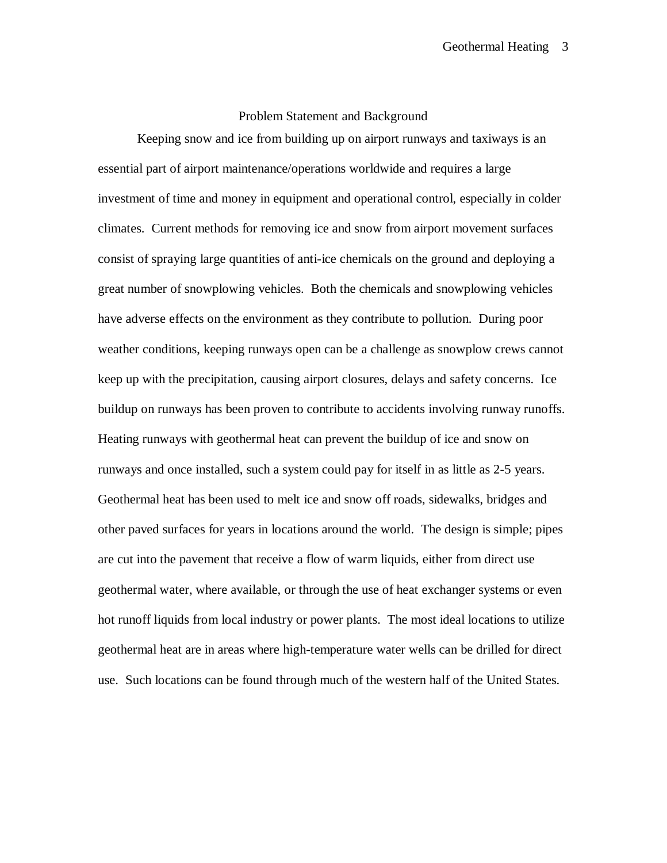#### Problem Statement and Background

Keeping snow and ice from building up on airport runways and taxiways is an essential part of airport maintenance/operations worldwide and requires a large investment of time and money in equipment and operational control, especially in colder climates. Current methods for removing ice and snow from airport movement surfaces consist of spraying large quantities of anti-ice chemicals on the ground and deploying a great number of snowplowing vehicles. Both the chemicals and snowplowing vehicles have adverse effects on the environment as they contribute to pollution. During poor weather conditions, keeping runways open can be a challenge as snowplow crews cannot keep up with the precipitation, causing airport closures, delays and safety concerns. Ice buildup on runways has been proven to contribute to accidents involving runway runoffs. Heating runways with geothermal heat can prevent the buildup of ice and snow on runways and once installed, such a system could pay for itself in as little as 2-5 years. Geothermal heat has been used to melt ice and snow off roads, sidewalks, bridges and other paved surfaces for years in locations around the world. The design is simple; pipes are cut into the pavement that receive a flow of warm liquids, either from direct use geothermal water, where available, or through the use of heat exchanger systems or even hot runoff liquids from local industry or power plants. The most ideal locations to utilize geothermal heat are in areas where high-temperature water wells can be drilled for direct use. Such locations can be found through much of the western half of the United States.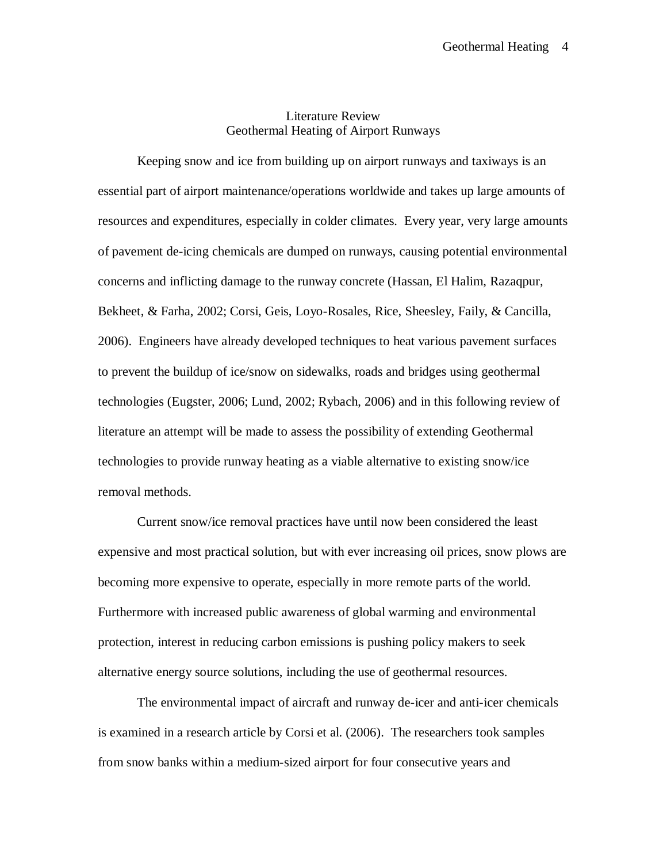#### Literature Review Geothermal Heating of Airport Runways

Keeping snow and ice from building up on airport runways and taxiways is an essential part of airport maintenance/operations worldwide and takes up large amounts of resources and expenditures, especially in colder climates. Every year, very large amounts of pavement de-icing chemicals are dumped on runways, causing potential environmental concerns and inflicting damage to the runway concrete (Hassan, El Halim, Razaqpur, Bekheet, & Farha, 2002; Corsi, Geis, Loyo-Rosales, Rice, Sheesley, Faily, & Cancilla, 2006). Engineers have already developed techniques to heat various pavement surfaces to prevent the buildup of ice/snow on sidewalks, roads and bridges using geothermal technologies (Eugster, 2006; Lund, 2002; Rybach, 2006) and in this following review of literature an attempt will be made to assess the possibility of extending Geothermal technologies to provide runway heating as a viable alternative to existing snow/ice removal methods.

Current snow/ice removal practices have until now been considered the least expensive and most practical solution, but with ever increasing oil prices, snow plows are becoming more expensive to operate, especially in more remote parts of the world. Furthermore with increased public awareness of global warming and environmental protection, interest in reducing carbon emissions is pushing policy makers to seek alternative energy source solutions, including the use of geothermal resources.

The environmental impact of aircraft and runway de-icer and anti-icer chemicals is examined in a research article by Corsi et al. (2006). The researchers took samples from snow banks within a medium-sized airport for four consecutive years and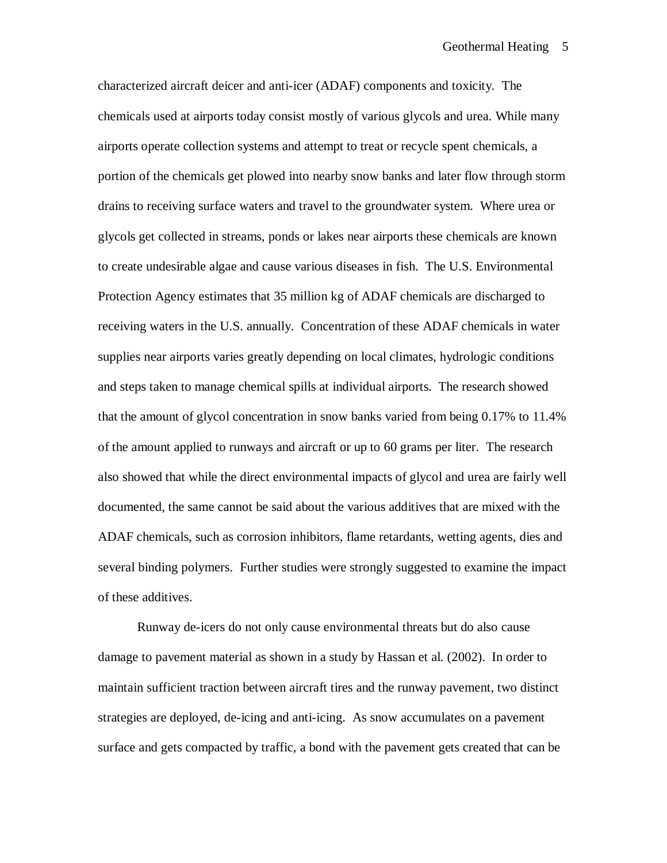characterized aircraft deicer and anti-icer (ADAF) components and toxicity. The chemicals used at airports today consist mostly of various glycols and urea. While many airports operate collection systems and attempt to treat or recycle spent chemicals, a portion of the chemicals get plowed into nearby snow banks and later flow through storm drains to receiving surface waters and travel to the groundwater system. Where urea or glycols get collected in streams, ponds or lakes near airports these chemicals are known to create undesirable algae and cause various diseases in fish. The U.S. Environmental Protection Agency estimates that 35 million kg of ADAF chemicals are discharged to receiving waters in the U.S. annually. Concentration of these ADAF chemicals in water supplies near airports varies greatly depending on local climates, hydrologic conditions and steps taken to manage chemical spills at individual airports. The research showed that the amount of glycol concentration in snow banks varied from being 0.17% to 11.4% of the amount applied to runways and aircraft or up to 60 grams per liter. The research also showed that while the direct environmental impacts of glycol and urea are fairly well documented, the same cannot be said about the various additives that are mixed with the ADAF chemicals, such as corrosion inhibitors, flame retardants, wetting agents, dies and several binding polymers. Further studies were strongly suggested to examine the impact of these additives.

Runway de-icers do not only cause environmental threats but do also cause damage to pavement material as shown in a study by Hassan et al. (2002). In order to maintain sufficient traction between aircraft tires and the runway pavement, two distinct strategies are deployed, de-icing and anti-icing. As snow accumulates on a pavement surface and gets compacted by traffic, a bond with the pavement gets created that can be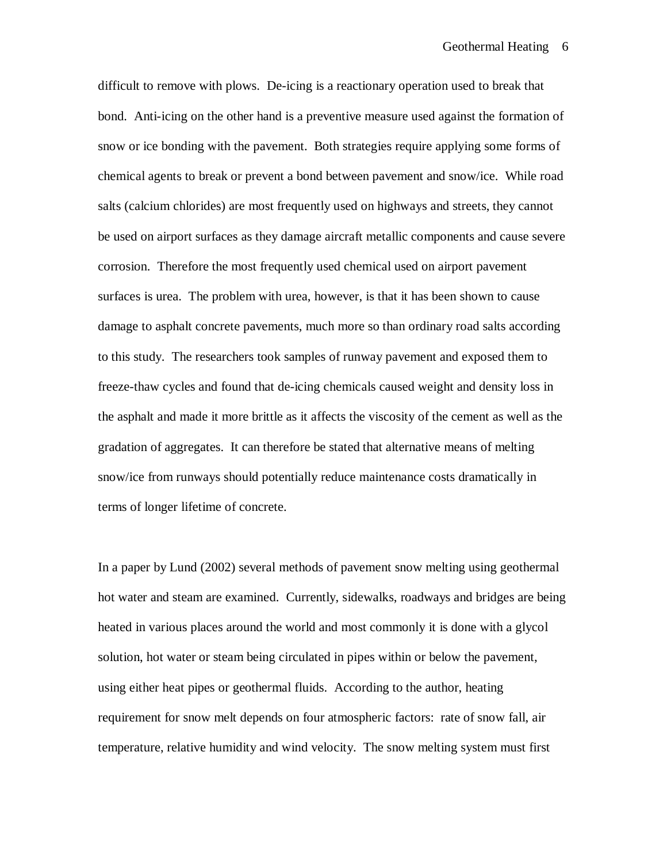difficult to remove with plows. De-icing is a reactionary operation used to break that bond. Anti-icing on the other hand is a preventive measure used against the formation of snow or ice bonding with the pavement. Both strategies require applying some forms of chemical agents to break or prevent a bond between pavement and snow/ice. While road salts (calcium chlorides) are most frequently used on highways and streets, they cannot be used on airport surfaces as they damage aircraft metallic components and cause severe corrosion. Therefore the most frequently used chemical used on airport pavement surfaces is urea. The problem with urea, however, is that it has been shown to cause damage to asphalt concrete pavements, much more so than ordinary road salts according to this study. The researchers took samples of runway pavement and exposed them to freeze-thaw cycles and found that de-icing chemicals caused weight and density loss in the asphalt and made it more brittle as it affects the viscosity of the cement as well as the gradation of aggregates. It can therefore be stated that alternative means of melting snow/ice from runways should potentially reduce maintenance costs dramatically in terms of longer lifetime of concrete.

In a paper by Lund (2002) several methods of pavement snow melting using geothermal hot water and steam are examined. Currently, sidewalks, roadways and bridges are being heated in various places around the world and most commonly it is done with a glycol solution, hot water or steam being circulated in pipes within or below the pavement, using either heat pipes or geothermal fluids. According to the author, heating requirement for snow melt depends on four atmospheric factors: rate of snow fall, air temperature, relative humidity and wind velocity. The snow melting system must first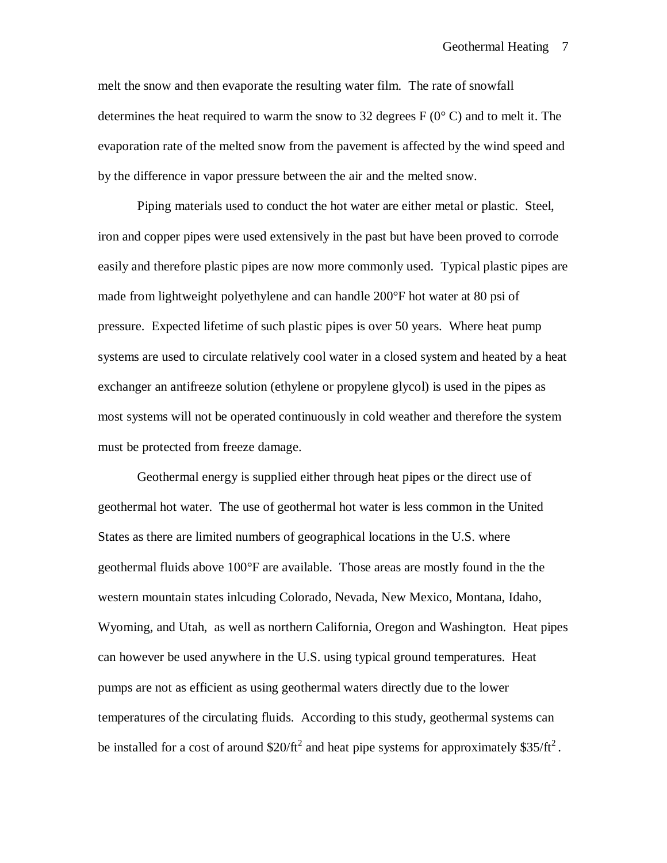melt the snow and then evaporate the resulting water film. The rate of snowfall determines the heat required to warm the snow to 32 degrees  $F(0^{\circ} C)$  and to melt it. The evaporation rate of the melted snow from the pavement is affected by the wind speed and by the difference in vapor pressure between the air and the melted snow.

Piping materials used to conduct the hot water are either metal or plastic. Steel, iron and copper pipes were used extensively in the past but have been proved to corrode easily and therefore plastic pipes are now more commonly used. Typical plastic pipes are made from lightweight polyethylene and can handle 200°F hot water at 80 psi of pressure. Expected lifetime of such plastic pipes is over 50 years. Where heat pump systems are used to circulate relatively cool water in a closed system and heated by a heat exchanger an antifreeze solution (ethylene or propylene glycol) is used in the pipes as most systems will not be operated continuously in cold weather and therefore the system must be protected from freeze damage.

Geothermal energy is supplied either through heat pipes or the direct use of geothermal hot water. The use of geothermal hot water is less common in the United States as there are limited numbers of geographical locations in the U.S. where geothermal fluids above 100°F are available. Those areas are mostly found in the the western mountain states inlcuding Colorado, Nevada, New Mexico, Montana, Idaho, Wyoming, and Utah, as well as northern California, Oregon and Washington. Heat pipes can however be used anywhere in the U.S. using typical ground temperatures. Heat pumps are not as efficient as using geothermal waters directly due to the lower temperatures of the circulating fluids. According to this study, geothermal systems can be installed for a cost of around  $$20/ft^2$  and heat pipe systems for approximately  $$35/ft^2$ .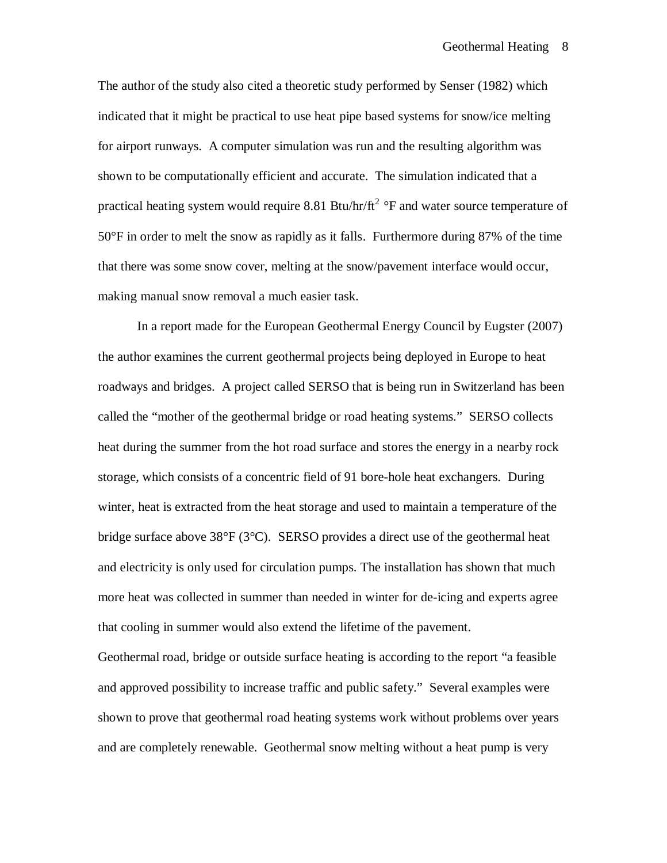The author of the study also cited a theoretic study performed by Senser (1982) which indicated that it might be practical to use heat pipe based systems for snow/ice melting for airport runways. A computer simulation was run and the resulting algorithm was shown to be computationally efficient and accurate. The simulation indicated that a practical heating system would require 8.81 Btu/hr/ $ft^2$  °F and water source temperature of 50°F in order to melt the snow as rapidly as it falls. Furthermore during 87% of the time that there was some snow cover, melting at the snow/pavement interface would occur, making manual snow removal a much easier task.

In a report made for the European Geothermal Energy Council by Eugster (2007) the author examines the current geothermal projects being deployed in Europe to heat roadways and bridges. A project called SERSO that is being run in Switzerland has been called the "mother of the geothermal bridge or road heating systems." SERSO collects heat during the summer from the hot road surface and stores the energy in a nearby rock storage, which consists of a concentric field of 91 bore-hole heat exchangers. During winter, heat is extracted from the heat storage and used to maintain a temperature of the bridge surface above  $38^{\circ}F(3^{\circ}C)$ . SERSO provides a direct use of the geothermal heat and electricity is only used for circulation pumps. The installation has shown that much more heat was collected in summer than needed in winter for de-icing and experts agree that cooling in summer would also extend the lifetime of the pavement.

Geothermal road, bridge or outside surface heating is according to the report "a feasible and approved possibility to increase traffic and public safety." Several examples were shown to prove that geothermal road heating systems work without problems over years and are completely renewable. Geothermal snow melting without a heat pump is very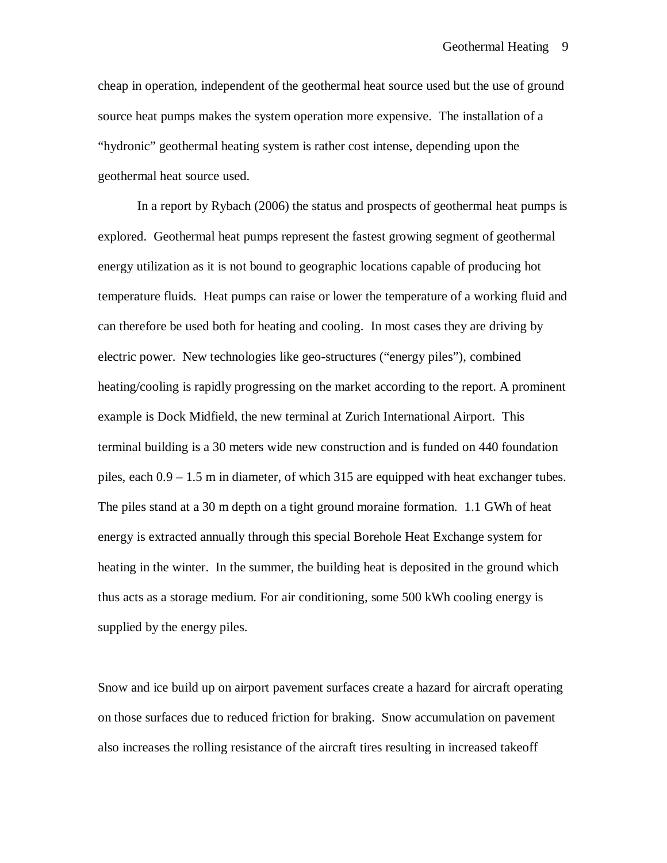cheap in operation, independent of the geothermal heat source used but the use of ground source heat pumps makes the system operation more expensive. The installation of a "hydronic" geothermal heating system is rather cost intense, depending upon the geothermal heat source used.

In a report by Rybach (2006) the status and prospects of geothermal heat pumps is explored. Geothermal heat pumps represent the fastest growing segment of geothermal energy utilization as it is not bound to geographic locations capable of producing hot temperature fluids. Heat pumps can raise or lower the temperature of a working fluid and can therefore be used both for heating and cooling. In most cases they are driving by electric power. New technologies like geo-structures ("energy piles"), combined heating/cooling is rapidly progressing on the market according to the report. A prominent example is Dock Midfield, the new terminal at Zurich International Airport. This terminal building is a 30 meters wide new construction and is funded on 440 foundation piles, each 0.9 – 1.5 m in diameter, of which 315 are equipped with heat exchanger tubes. The piles stand at a 30 m depth on a tight ground moraine formation. 1.1 GWh of heat energy is extracted annually through this special Borehole Heat Exchange system for heating in the winter. In the summer, the building heat is deposited in the ground which thus acts as a storage medium. For air conditioning, some 500 kWh cooling energy is supplied by the energy piles.

Snow and ice build up on airport pavement surfaces create a hazard for aircraft operating on those surfaces due to reduced friction for braking. Snow accumulation on pavement also increases the rolling resistance of the aircraft tires resulting in increased takeoff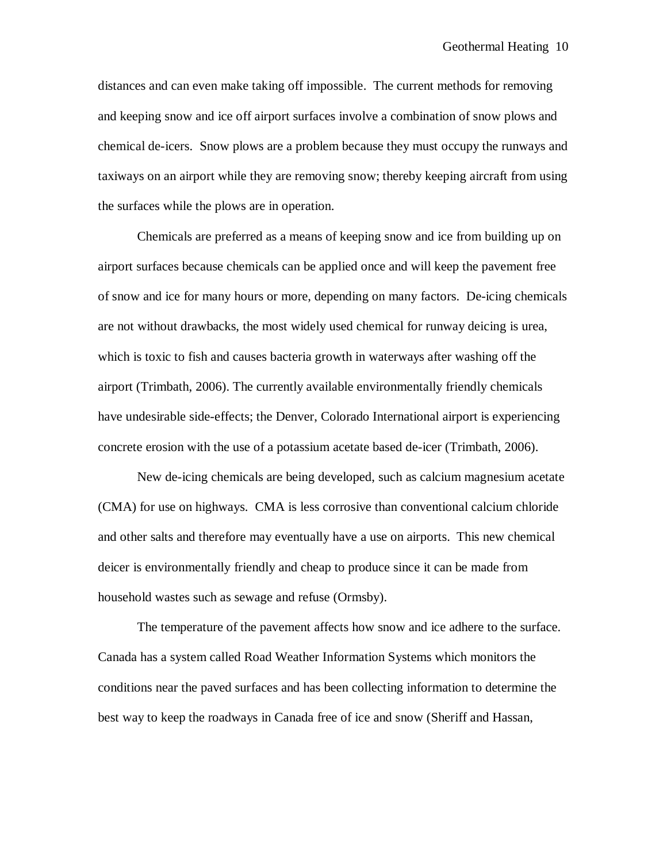distances and can even make taking off impossible. The current methods for removing and keeping snow and ice off airport surfaces involve a combination of snow plows and chemical de-icers. Snow plows are a problem because they must occupy the runways and taxiways on an airport while they are removing snow; thereby keeping aircraft from using the surfaces while the plows are in operation.

Chemicals are preferred as a means of keeping snow and ice from building up on airport surfaces because chemicals can be applied once and will keep the pavement free of snow and ice for many hours or more, depending on many factors. De-icing chemicals are not without drawbacks, the most widely used chemical for runway deicing is urea, which is toxic to fish and causes bacteria growth in waterways after washing off the airport (Trimbath, 2006). The currently available environmentally friendly chemicals have undesirable side-effects; the Denver, Colorado International airport is experiencing concrete erosion with the use of a potassium acetate based de-icer (Trimbath, 2006).

New de-icing chemicals are being developed, such as calcium magnesium acetate (CMA) for use on highways. CMA is less corrosive than conventional calcium chloride and other salts and therefore may eventually have a use on airports. This new chemical deicer is environmentally friendly and cheap to produce since it can be made from household wastes such as sewage and refuse (Ormsby).

The temperature of the pavement affects how snow and ice adhere to the surface. Canada has a system called Road Weather Information Systems which monitors the conditions near the paved surfaces and has been collecting information to determine the best way to keep the roadways in Canada free of ice and snow (Sheriff and Hassan,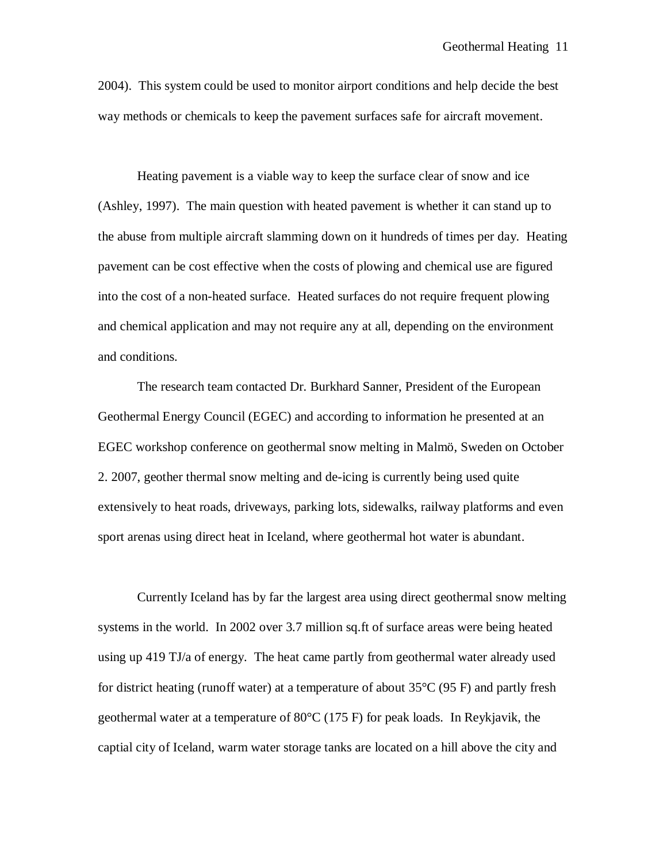2004). This system could be used to monitor airport conditions and help decide the best way methods or chemicals to keep the pavement surfaces safe for aircraft movement.

Heating pavement is a viable way to keep the surface clear of snow and ice (Ashley, 1997). The main question with heated pavement is whether it can stand up to the abuse from multiple aircraft slamming down on it hundreds of times per day. Heating pavement can be cost effective when the costs of plowing and chemical use are figured into the cost of a non-heated surface. Heated surfaces do not require frequent plowing and chemical application and may not require any at all, depending on the environment and conditions.

The research team contacted Dr. Burkhard Sanner, President of the European Geothermal Energy Council (EGEC) and according to information he presented at an EGEC workshop conference on geothermal snow melting in Malmö, Sweden on October 2. 2007, geother thermal snow melting and de-icing is currently being used quite extensively to heat roads, driveways, parking lots, sidewalks, railway platforms and even sport arenas using direct heat in Iceland, where geothermal hot water is abundant.

Currently Iceland has by far the largest area using direct geothermal snow melting systems in the world. In 2002 over 3.7 million sq.ft of surface areas were being heated using up 419 TJ/a of energy. The heat came partly from geothermal water already used for district heating (runoff water) at a temperature of about 35°C (95 F) and partly fresh geothermal water at a temperature of  $80^{\circ}$ C (175 F) for peak loads. In Reykjavik, the captial city of Iceland, warm water storage tanks are located on a hill above the city and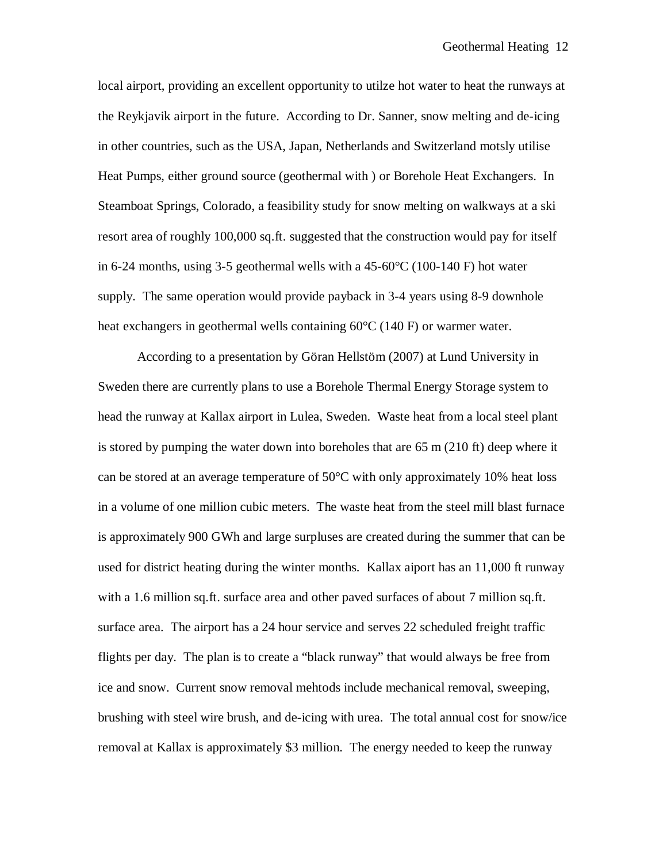local airport, providing an excellent opportunity to utilze hot water to heat the runways at the Reykjavik airport in the future. According to Dr. Sanner, snow melting and de-icing in other countries, such as the USA, Japan, Netherlands and Switzerland motsly utilise Heat Pumps, either ground source (geothermal with ) or Borehole Heat Exchangers. In Steamboat Springs, Colorado, a feasibility study for snow melting on walkways at a ski resort area of roughly 100,000 sq.ft. suggested that the construction would pay for itself in 6-24 months, using 3-5 geothermal wells with a 45-60°C (100-140 F) hot water supply. The same operation would provide payback in 3-4 years using 8-9 downhole heat exchangers in geothermal wells containing 60°C (140 F) or warmer water.

According to a presentation by Göran Hellstöm (2007) at Lund University in Sweden there are currently plans to use a Borehole Thermal Energy Storage system to head the runway at Kallax airport in Lulea, Sweden. Waste heat from a local steel plant is stored by pumping the water down into boreholes that are  $65 \text{ m}$  (210 ft) deep where it can be stored at an average temperature of 50°C with only approximately 10% heat loss in a volume of one million cubic meters. The waste heat from the steel mill blast furnace is approximately 900 GWh and large surpluses are created during the summer that can be used for district heating during the winter months. Kallax aiport has an 11,000 ft runway with a 1.6 million sq.ft. surface area and other paved surfaces of about 7 million sq.ft. surface area. The airport has a 24 hour service and serves 22 scheduled freight traffic flights per day. The plan is to create a "black runway" that would always be free from ice and snow. Current snow removal mehtods include mechanical removal, sweeping, brushing with steel wire brush, and de-icing with urea. The total annual cost for snow/ice removal at Kallax is approximately \$3 million. The energy needed to keep the runway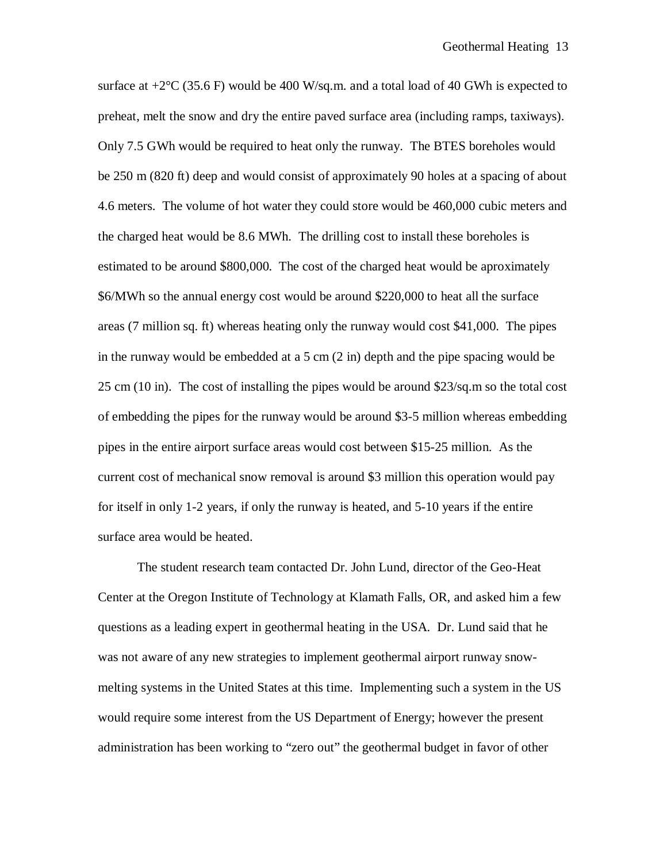surface at  $+2^{\circ}C$  (35.6 F) would be 400 W/sq.m. and a total load of 40 GWh is expected to preheat, melt the snow and dry the entire paved surface area (including ramps, taxiways). Only 7.5 GWh would be required to heat only the runway. The BTES boreholes would be 250 m (820 ft) deep and would consist of approximately 90 holes at a spacing of about 4.6 meters. The volume of hot water they could store would be 460,000 cubic meters and the charged heat would be 8.6 MWh. The drilling cost to install these boreholes is estimated to be around \$800,000. The cost of the charged heat would be aproximately \$6/MWh so the annual energy cost would be around \$220,000 to heat all the surface areas (7 million sq. ft) whereas heating only the runway would cost \$41,000. The pipes in the runway would be embedded at a 5 cm (2 in) depth and the pipe spacing would be 25 cm (10 in). The cost of installing the pipes would be around \$23/sq.m so the total cost of embedding the pipes for the runway would be around \$3-5 million whereas embedding pipes in the entire airport surface areas would cost between \$15-25 million. As the current cost of mechanical snow removal is around \$3 million this operation would pay for itself in only 1-2 years, if only the runway is heated, and 5-10 years if the entire surface area would be heated.

The student research team contacted Dr. John Lund, director of the Geo-Heat Center at the Oregon Institute of Technology at Klamath Falls, OR, and asked him a few questions as a leading expert in geothermal heating in the USA. Dr. Lund said that he was not aware of any new strategies to implement geothermal airport runway snowmelting systems in the United States at this time. Implementing such a system in the US would require some interest from the US Department of Energy; however the present administration has been working to "zero out" the geothermal budget in favor of other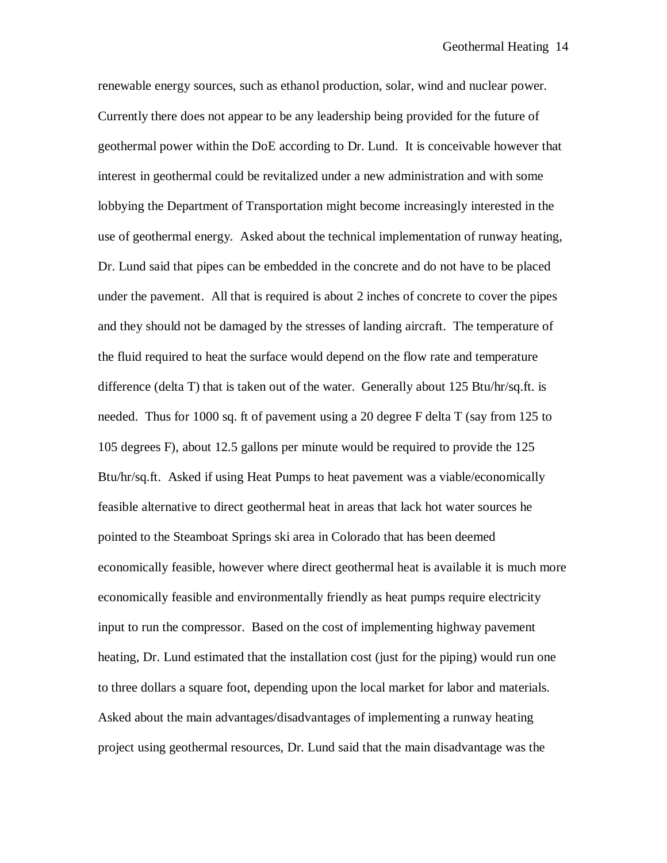renewable energy sources, such as ethanol production, solar, wind and nuclear power. Currently there does not appear to be any leadership being provided for the future of geothermal power within the DoE according to Dr. Lund. It is conceivable however that interest in geothermal could be revitalized under a new administration and with some lobbying the Department of Transportation might become increasingly interested in the use of geothermal energy. Asked about the technical implementation of runway heating, Dr. Lund said that pipes can be embedded in the concrete and do not have to be placed under the pavement. All that is required is about 2 inches of concrete to cover the pipes and they should not be damaged by the stresses of landing aircraft. The temperature of the fluid required to heat the surface would depend on the flow rate and temperature difference (delta T) that is taken out of the water. Generally about 125 Btu/hr/sq.ft. is needed. Thus for 1000 sq. ft of pavement using a 20 degree F delta T (say from 125 to 105 degrees F), about 12.5 gallons per minute would be required to provide the 125 Btu/hr/sq.ft. Asked if using Heat Pumps to heat pavement was a viable/economically feasible alternative to direct geothermal heat in areas that lack hot water sources he pointed to the Steamboat Springs ski area in Colorado that has been deemed economically feasible, however where direct geothermal heat is available it is much more economically feasible and environmentally friendly as heat pumps require electricity input to run the compressor. Based on the cost of implementing highway pavement heating, Dr. Lund estimated that the installation cost (just for the piping) would run one to three dollars a square foot, depending upon the local market for labor and materials. Asked about the main advantages/disadvantages of implementing a runway heating project using geothermal resources, Dr. Lund said that the main disadvantage was the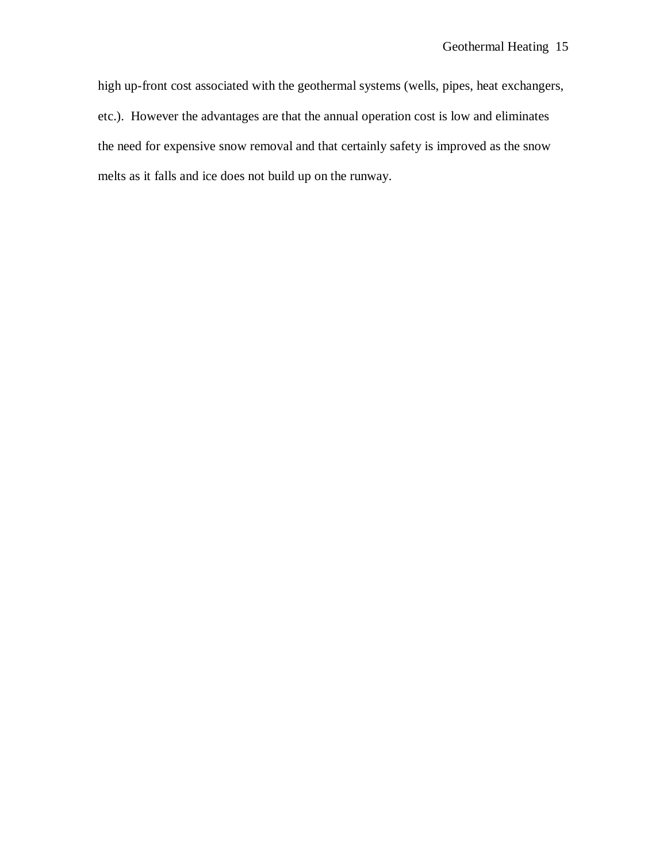high up-front cost associated with the geothermal systems (wells, pipes, heat exchangers, etc.). However the advantages are that the annual operation cost is low and eliminates the need for expensive snow removal and that certainly safety is improved as the snow melts as it falls and ice does not build up on the runway.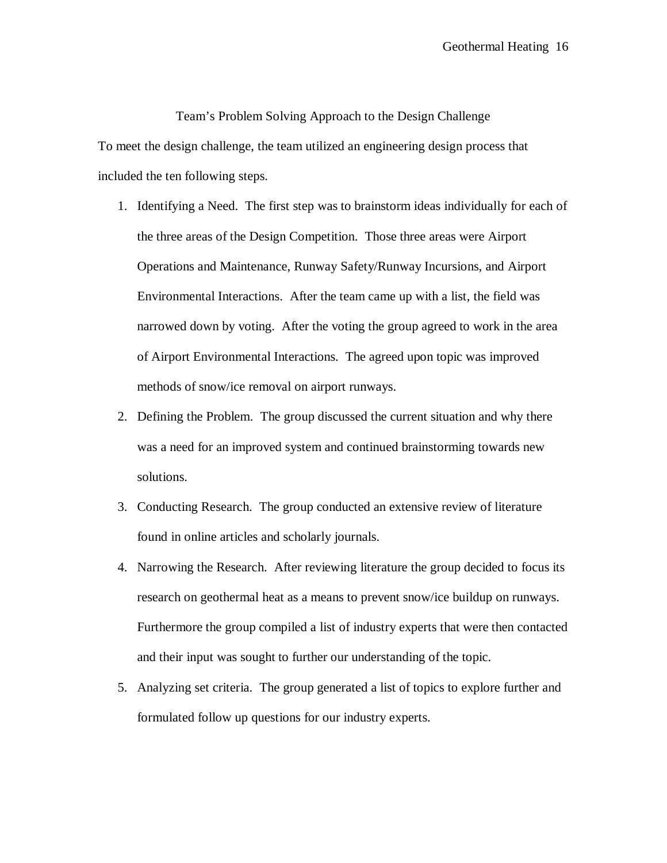Team's Problem Solving Approach to the Design Challenge To meet the design challenge, the team utilized an engineering design process that included the ten following steps.

- 1. Identifying a Need. The first step was to brainstorm ideas individually for each of the three areas of the Design Competition. Those three areas were Airport Operations and Maintenance, Runway Safety/Runway Incursions, and Airport Environmental Interactions. After the team came up with a list, the field was narrowed down by voting. After the voting the group agreed to work in the area of Airport Environmental Interactions. The agreed upon topic was improved methods of snow/ice removal on airport runways.
- 2. Defining the Problem. The group discussed the current situation and why there was a need for an improved system and continued brainstorming towards new solutions.
- 3. Conducting Research. The group conducted an extensive review of literature found in online articles and scholarly journals.
- 4. Narrowing the Research. After reviewing literature the group decided to focus its research on geothermal heat as a means to prevent snow/ice buildup on runways. Furthermore the group compiled a list of industry experts that were then contacted and their input was sought to further our understanding of the topic.
- 5. Analyzing set criteria. The group generated a list of topics to explore further and formulated follow up questions for our industry experts.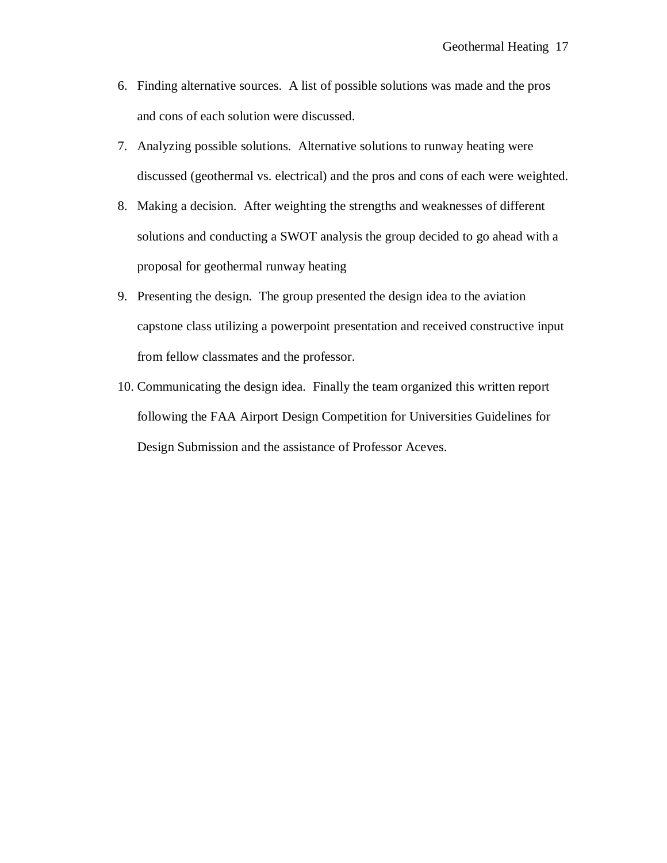- 6. Finding alternative sources. A list of possible solutions was made and the pros and cons of each solution were discussed.
- 7. Analyzing possible solutions. Alternative solutions to runway heating were discussed (geothermal vs. electrical) and the pros and cons of each were weighted.
- 8. Making a decision. After weighting the strengths and weaknesses of different solutions and conducting a SWOT analysis the group decided to go ahead with a proposal for geothermal runway heating
- 9. Presenting the design. The group presented the design idea to the aviation capstone class utilizing a powerpoint presentation and received constructive input from fellow classmates and the professor.
- 10. Communicating the design idea. Finally the team organized this written report following the FAA Airport Design Competition for Universities Guidelines for Design Submission and the assistance of Professor Aceves.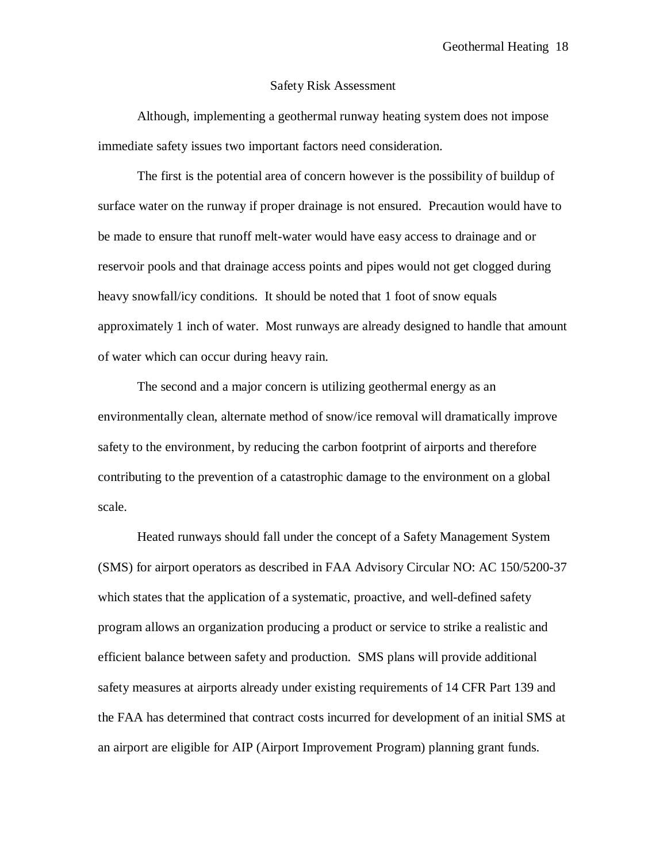#### Safety Risk Assessment

Although, implementing a geothermal runway heating system does not impose immediate safety issues two important factors need consideration.

The first is the potential area of concern however is the possibility of buildup of surface water on the runway if proper drainage is not ensured. Precaution would have to be made to ensure that runoff melt-water would have easy access to drainage and or reservoir pools and that drainage access points and pipes would not get clogged during heavy snowfall/icy conditions. It should be noted that 1 foot of snow equals approximately 1 inch of water. Most runways are already designed to handle that amount of water which can occur during heavy rain.

The second and a major concern is utilizing geothermal energy as an environmentally clean, alternate method of snow/ice removal will dramatically improve safety to the environment, by reducing the carbon footprint of airports and therefore contributing to the prevention of a catastrophic damage to the environment on a global scale.

Heated runways should fall under the concept of a Safety Management System (SMS) for airport operators as described in FAA Advisory Circular NO: AC 150/5200-37 which states that the application of a systematic, proactive, and well-defined safety program allows an organization producing a product or service to strike a realistic and efficient balance between safety and production. SMS plans will provide additional safety measures at airports already under existing requirements of 14 CFR Part 139 and the FAA has determined that contract costs incurred for development of an initial SMS at an airport are eligible for AIP (Airport Improvement Program) planning grant funds.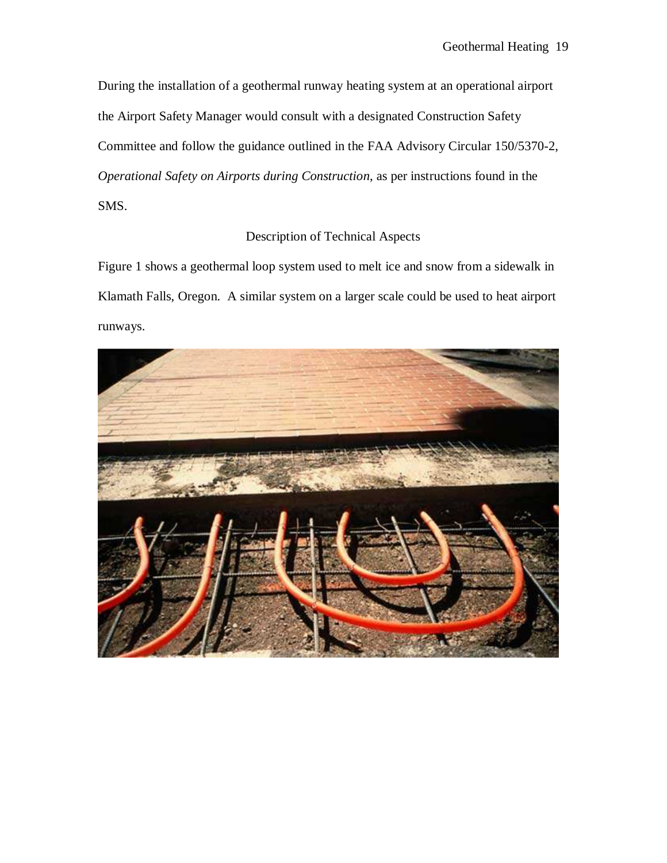During the installation of a geothermal runway heating system at an operational airport the Airport Safety Manager would consult with a designated Construction Safety Committee and follow the guidance outlined in the FAA Advisory Circular 150/5370-2, *Operational Safety on Airports during Construction*, as per instructions found in the SMS.

# Description of Technical Aspects

Figure 1 shows a geothermal loop system used to melt ice and snow from a sidewalk in Klamath Falls, Oregon. A similar system on a larger scale could be used to heat airport runways.

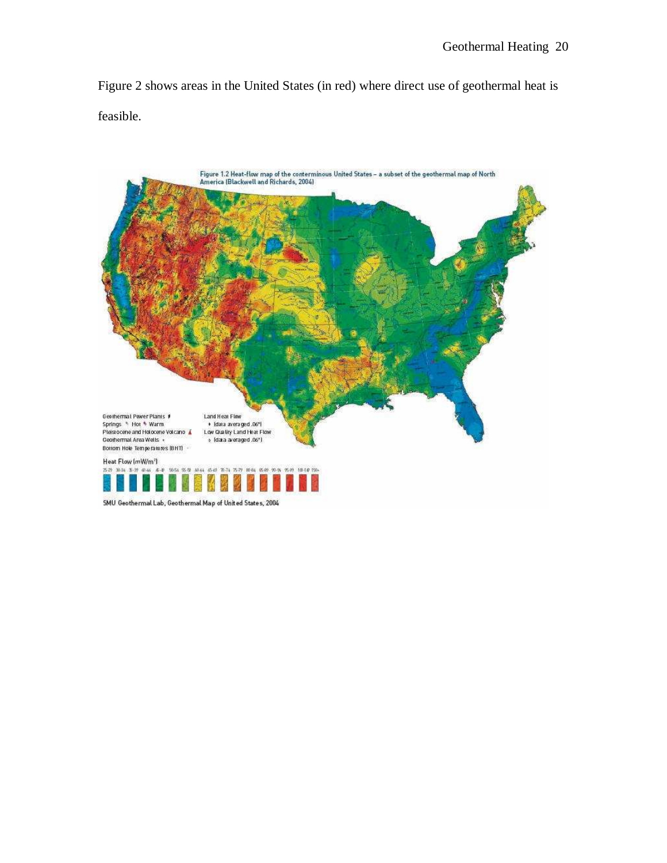Figure 2 shows areas in the United States (in red) where direct use of geothermal heat is feasible.

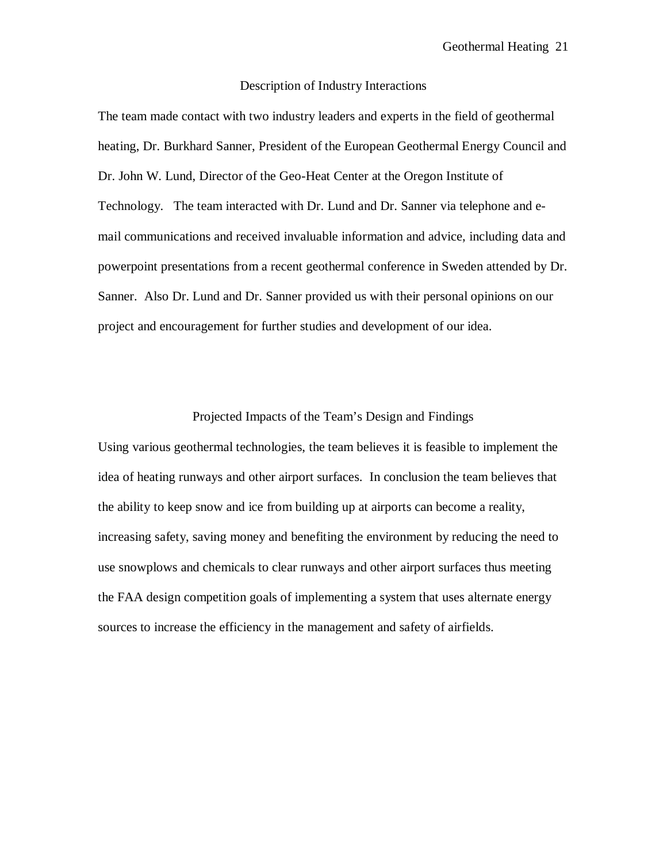#### Description of Industry Interactions

The team made contact with two industry leaders and experts in the field of geothermal heating, Dr. Burkhard Sanner, President of the European Geothermal Energy Council and Dr. John W. Lund, Director of the Geo-Heat Center at the Oregon Institute of Technology. The team interacted with Dr. Lund and Dr. Sanner via telephone and email communications and received invaluable information and advice, including data and powerpoint presentations from a recent geothermal conference in Sweden attended by Dr. Sanner. Also Dr. Lund and Dr. Sanner provided us with their personal opinions on our project and encouragement for further studies and development of our idea.

#### Projected Impacts of the Team's Design and Findings

Using various geothermal technologies, the team believes it is feasible to implement the idea of heating runways and other airport surfaces. In conclusion the team believes that the ability to keep snow and ice from building up at airports can become a reality, increasing safety, saving money and benefiting the environment by reducing the need to use snowplows and chemicals to clear runways and other airport surfaces thus meeting the FAA design competition goals of implementing a system that uses alternate energy sources to increase the efficiency in the management and safety of airfields.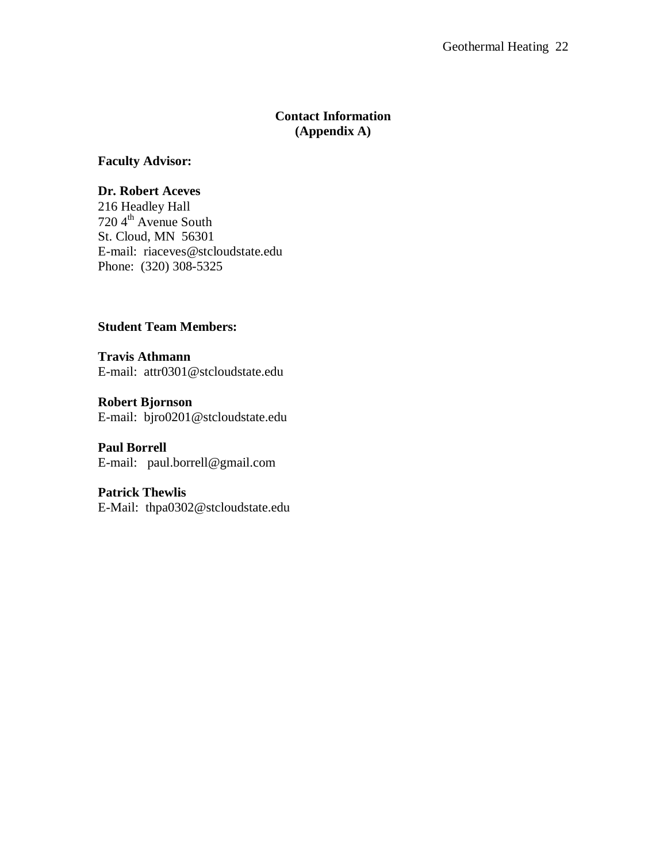## **Contact Information (Appendix A)**

**Faculty Advisor:** 

### **Dr. Robert Aceves**

216 Headley Hall 720 4 th Avenue South St. Cloud, MN 56301 E-mail: riaceves@stcloudstate.edu Phone: (320) 308-5325

## **Student Team Members:**

**Travis Athmann**  E-mail: attr0301@stcloudstate.edu

**Robert Bjornson**  E-mail: bjro0201@stcloudstate.edu

# **Paul Borrell**

E-mail: paul.borrell@gmail.com

#### **Patrick Thewlis**

E-Mail: thpa0302@stcloudstate.edu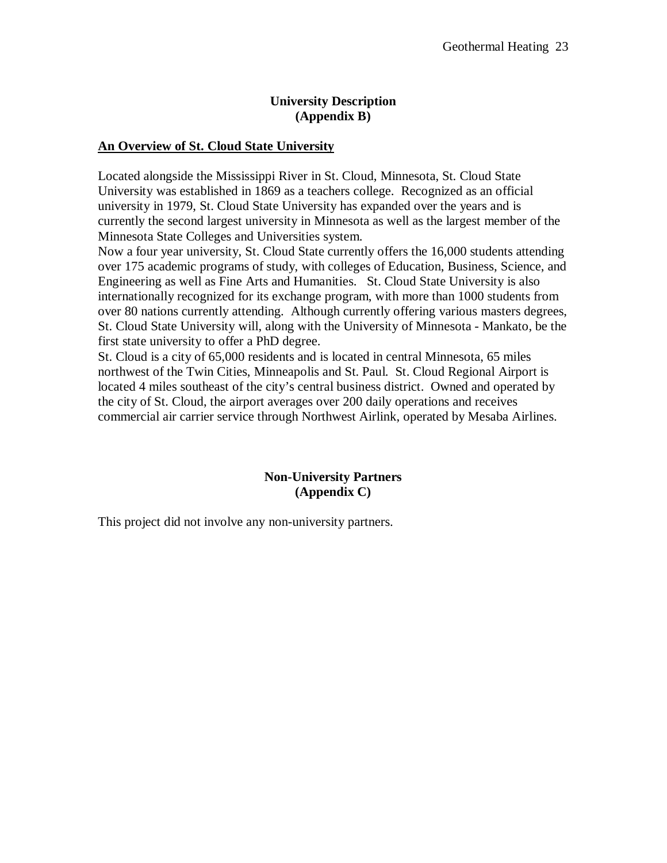# **University Description (Appendix B)**

## **An Overview of St. Cloud State University**

Located alongside the Mississippi River in St. Cloud, Minnesota, St. Cloud State University was established in 1869 as a teachers college. Recognized as an official university in 1979, St. Cloud State University has expanded over the years and is currently the second largest university in Minnesota as well as the largest member of the Minnesota State Colleges and Universities system.

Now a four year university, St. Cloud State currently offers the 16,000 students attending over 175 academic programs of study, with colleges of Education, Business, Science, and Engineering as well as Fine Arts and Humanities. St. Cloud State University is also internationally recognized for its exchange program, with more than 1000 students from over 80 nations currently attending. Although currently offering various masters degrees, St. Cloud State University will, along with the University of Minnesota - Mankato, be the first state university to offer a PhD degree.

St. Cloud is a city of 65,000 residents and is located in central Minnesota, 65 miles northwest of the Twin Cities, Minneapolis and St. Paul. St. Cloud Regional Airport is located 4 miles southeast of the city's central business district. Owned and operated by the city of St. Cloud, the airport averages over 200 daily operations and receives commercial air carrier service through Northwest Airlink, operated by Mesaba Airlines.

## **Non-University Partners (Appendix C)**

This project did not involve any non-university partners.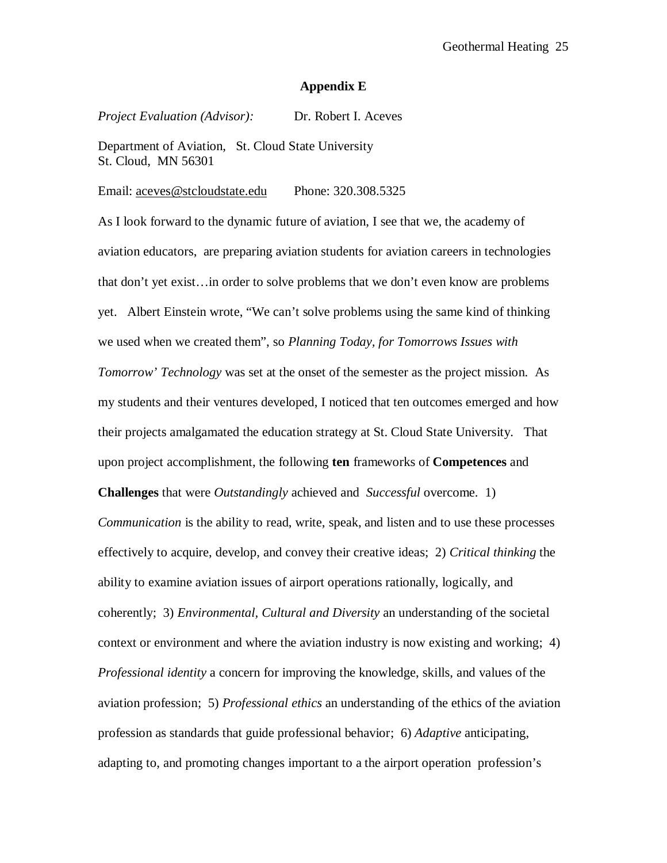#### **Appendix E**

*Project Evaluation (Advisor):* Dr. Robert I. Aceves

Department of Aviation, St. Cloud State University St. Cloud, MN 56301

#### Email: aceves@stcloudstate.edu Phone: 320.308.5325

As I look forward to the dynamic future of aviation, I see that we, the academy of aviation educators, are preparing aviation students for aviation careers in technologies that don't yet exist…in order to solve problems that we don't even know are problems yet. Albert Einstein wrote, "We can't solve problems using the same kind of thinking we used when we created them", so *Planning Today, for Tomorrows Issues with Tomorrow' Technology* was set at the onset of the semester as the project mission. As my students and their ventures developed, I noticed that ten outcomes emerged and how their projects amalgamated the education strategy at St. Cloud State University. That upon project accomplishment, the following **ten** frameworks of **Competences** and

**Challenges** that were *Outstandingly* achieved and *Successful* overcome. 1)

*Communication* is the ability to read, write, speak, and listen and to use these processes effectively to acquire, develop, and convey their creative ideas; 2) *Critical thinking* the ability to examine aviation issues of airport operations rationally, logically, and coherently; 3) *Environmental, Cultural and Diversity* an understanding of the societal context or environment and where the aviation industry is now existing and working; 4) *Professional identity* a concern for improving the knowledge, skills, and values of the aviation profession; 5) *Professional ethics* an understanding of the ethics of the aviation profession as standards that guide professional behavior; 6) *Adaptive* anticipating, adapting to, and promoting changes important to a the airport operation profession's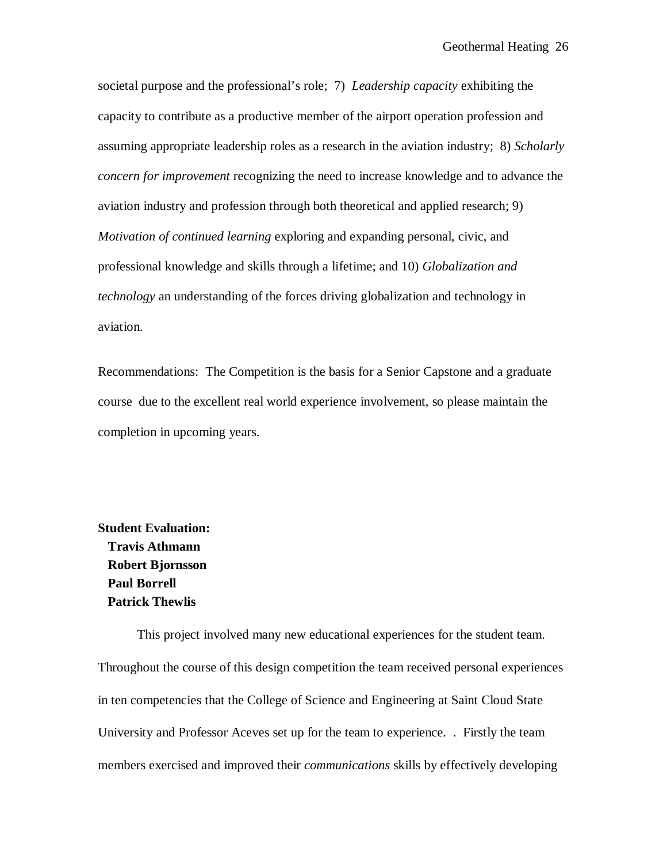societal purpose and the professional's role; 7) *Leadership capacity* exhibiting the capacity to contribute as a productive member of the airport operation profession and assuming appropriate leadership roles as a research in the aviation industry; 8) *Scholarly concern for improvement* recognizing the need to increase knowledge and to advance the aviation industry and profession through both theoretical and applied research; 9) *Motivation of continued learning* exploring and expanding personal, civic, and professional knowledge and skills through a lifetime; and 10) *Globalization and technology* an understanding of the forces driving globalization and technology in aviation.

Recommendations: The Competition is the basis for a Senior Capstone and a graduate course due to the excellent real world experience involvement, so please maintain the completion in upcoming years.

**Student Evaluation: Travis Athmann Robert Bjornsson Paul Borrell Patrick Thewlis** 

This project involved many new educational experiences for the student team. Throughout the course of this design competition the team received personal experiences in ten competencies that the College of Science and Engineering at Saint Cloud State University and Professor Aceves set up for the team to experience. . Firstly the team members exercised and improved their *communications* skills by effectively developing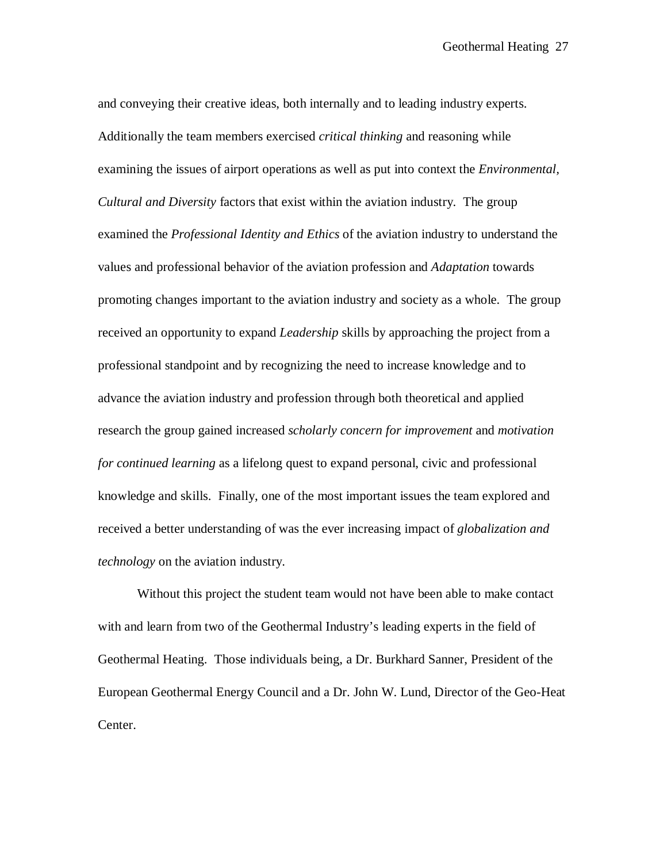and conveying their creative ideas, both internally and to leading industry experts. Additionally the team members exercised *critical thinking* and reasoning while examining the issues of airport operations as well as put into context the *Environmental, Cultural and Diversity* factors that exist within the aviation industry. The group examined the *Professional Identity and Ethics* of the aviation industry to understand the values and professional behavior of the aviation profession and *Adaptation* towards promoting changes important to the aviation industry and society as a whole. The group received an opportunity to expand *Leadership* skills by approaching the project from a professional standpoint and by recognizing the need to increase knowledge and to advance the aviation industry and profession through both theoretical and applied research the group gained increased *scholarly concern for improvement* and *motivation for continued learning* as a lifelong quest to expand personal, civic and professional knowledge and skills. Finally, one of the most important issues the team explored and received a better understanding of was the ever increasing impact of *globalization and technology* on the aviation industry.

Without this project the student team would not have been able to make contact with and learn from two of the Geothermal Industry's leading experts in the field of Geothermal Heating. Those individuals being, a Dr. Burkhard Sanner, President of the European Geothermal Energy Council and a Dr. John W. Lund, Director of the Geo-Heat Center.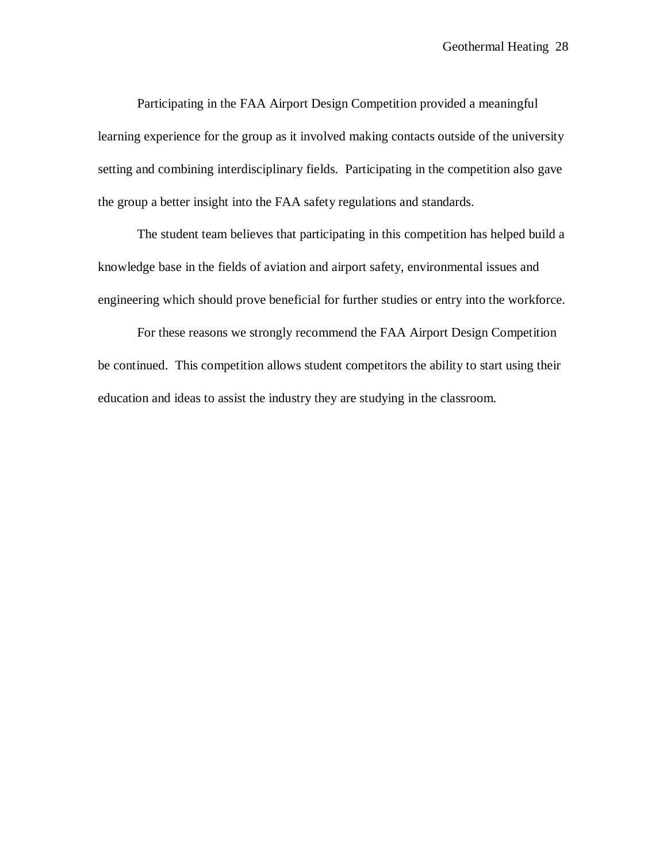Participating in the FAA Airport Design Competition provided a meaningful learning experience for the group as it involved making contacts outside of the university setting and combining interdisciplinary fields. Participating in the competition also gave the group a better insight into the FAA safety regulations and standards.

The student team believes that participating in this competition has helped build a knowledge base in the fields of aviation and airport safety, environmental issues and engineering which should prove beneficial for further studies or entry into the workforce.

For these reasons we strongly recommend the FAA Airport Design Competition be continued. This competition allows student competitors the ability to start using their education and ideas to assist the industry they are studying in the classroom.